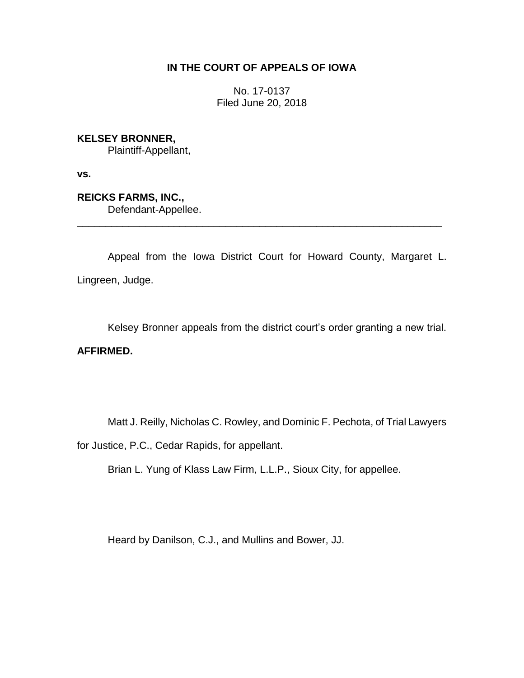# **IN THE COURT OF APPEALS OF IOWA**

No. 17-0137 Filed June 20, 2018

**KELSEY BRONNER,**

Plaintiff-Appellant,

**vs.**

**REICKS FARMS, INC.,** Defendant-Appellee.

Appeal from the Iowa District Court for Howard County, Margaret L. Lingreen, Judge.

\_\_\_\_\_\_\_\_\_\_\_\_\_\_\_\_\_\_\_\_\_\_\_\_\_\_\_\_\_\_\_\_\_\_\_\_\_\_\_\_\_\_\_\_\_\_\_\_\_\_\_\_\_\_\_\_\_\_\_\_\_\_\_\_

Kelsey Bronner appeals from the district court's order granting a new trial.

# **AFFIRMED.**

Matt J. Reilly, Nicholas C. Rowley, and Dominic F. Pechota, of Trial Lawyers

for Justice, P.C., Cedar Rapids, for appellant.

Brian L. Yung of Klass Law Firm, L.L.P., Sioux City, for appellee.

Heard by Danilson, C.J., and Mullins and Bower, JJ.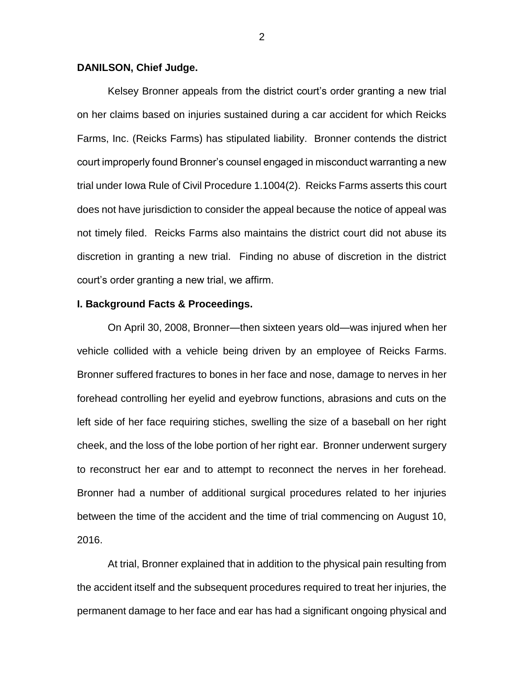### **DANILSON, Chief Judge.**

Kelsey Bronner appeals from the district court's order granting a new trial on her claims based on injuries sustained during a car accident for which Reicks Farms, Inc. (Reicks Farms) has stipulated liability. Bronner contends the district court improperly found Bronner's counsel engaged in misconduct warranting a new trial under Iowa Rule of Civil Procedure 1.1004(2). Reicks Farms asserts this court does not have jurisdiction to consider the appeal because the notice of appeal was not timely filed. Reicks Farms also maintains the district court did not abuse its discretion in granting a new trial. Finding no abuse of discretion in the district court's order granting a new trial, we affirm.

### **I. Background Facts & Proceedings.**

On April 30, 2008, Bronner—then sixteen years old—was injured when her vehicle collided with a vehicle being driven by an employee of Reicks Farms. Bronner suffered fractures to bones in her face and nose, damage to nerves in her forehead controlling her eyelid and eyebrow functions, abrasions and cuts on the left side of her face requiring stiches, swelling the size of a baseball on her right cheek, and the loss of the lobe portion of her right ear. Bronner underwent surgery to reconstruct her ear and to attempt to reconnect the nerves in her forehead. Bronner had a number of additional surgical procedures related to her injuries between the time of the accident and the time of trial commencing on August 10, 2016.

At trial, Bronner explained that in addition to the physical pain resulting from the accident itself and the subsequent procedures required to treat her injuries, the permanent damage to her face and ear has had a significant ongoing physical and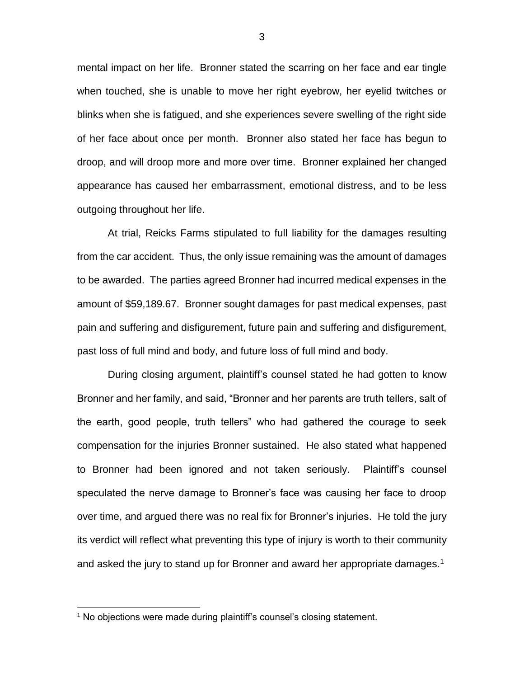mental impact on her life. Bronner stated the scarring on her face and ear tingle when touched, she is unable to move her right eyebrow, her eyelid twitches or blinks when she is fatigued, and she experiences severe swelling of the right side of her face about once per month. Bronner also stated her face has begun to droop, and will droop more and more over time. Bronner explained her changed appearance has caused her embarrassment, emotional distress, and to be less outgoing throughout her life.

At trial, Reicks Farms stipulated to full liability for the damages resulting from the car accident. Thus, the only issue remaining was the amount of damages to be awarded. The parties agreed Bronner had incurred medical expenses in the amount of \$59,189.67. Bronner sought damages for past medical expenses, past pain and suffering and disfigurement, future pain and suffering and disfigurement, past loss of full mind and body, and future loss of full mind and body.

During closing argument, plaintiff's counsel stated he had gotten to know Bronner and her family, and said, "Bronner and her parents are truth tellers, salt of the earth, good people, truth tellers" who had gathered the courage to seek compensation for the injuries Bronner sustained. He also stated what happened to Bronner had been ignored and not taken seriously. Plaintiff's counsel speculated the nerve damage to Bronner's face was causing her face to droop over time, and argued there was no real fix for Bronner's injuries. He told the jury its verdict will reflect what preventing this type of injury is worth to their community and asked the jury to stand up for Bronner and award her appropriate damages.<sup>1</sup>

 $\overline{a}$ 

3

<sup>&</sup>lt;sup>1</sup> No objections were made during plaintiff's counsel's closing statement.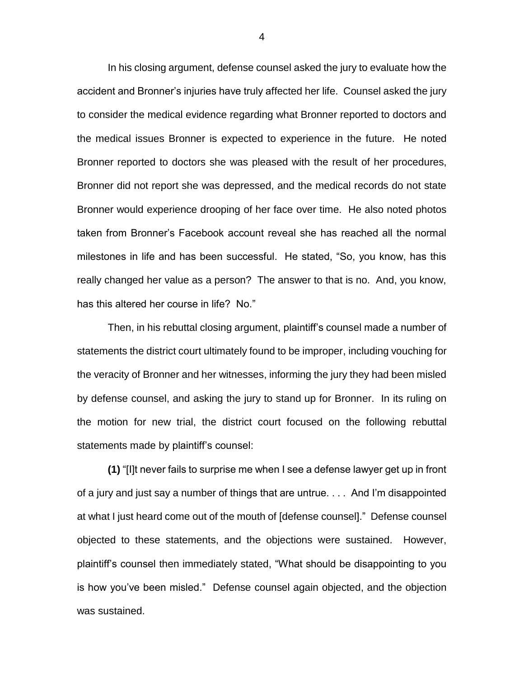In his closing argument, defense counsel asked the jury to evaluate how the accident and Bronner's injuries have truly affected her life. Counsel asked the jury to consider the medical evidence regarding what Bronner reported to doctors and the medical issues Bronner is expected to experience in the future. He noted Bronner reported to doctors she was pleased with the result of her procedures, Bronner did not report she was depressed, and the medical records do not state Bronner would experience drooping of her face over time. He also noted photos taken from Bronner's Facebook account reveal she has reached all the normal milestones in life and has been successful. He stated, "So, you know, has this really changed her value as a person? The answer to that is no. And, you know, has this altered her course in life? No."

Then, in his rebuttal closing argument, plaintiff's counsel made a number of statements the district court ultimately found to be improper, including vouching for the veracity of Bronner and her witnesses, informing the jury they had been misled by defense counsel, and asking the jury to stand up for Bronner. In its ruling on the motion for new trial, the district court focused on the following rebuttal statements made by plaintiff's counsel:

**(1)** "[I]t never fails to surprise me when I see a defense lawyer get up in front of a jury and just say a number of things that are untrue. . . . And I'm disappointed at what I just heard come out of the mouth of [defense counsel]." Defense counsel objected to these statements, and the objections were sustained. However, plaintiff's counsel then immediately stated, "What should be disappointing to you is how you've been misled." Defense counsel again objected, and the objection was sustained.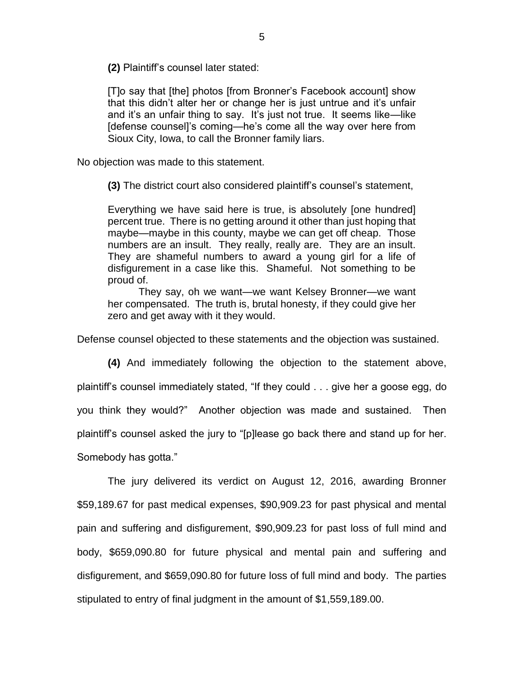**(2)** Plaintiff's counsel later stated:

[T]o say that [the] photos [from Bronner's Facebook account] show that this didn't alter her or change her is just untrue and it's unfair and it's an unfair thing to say. It's just not true. It seems like—like [defense counsel]'s coming—he's come all the way over here from Sioux City, Iowa, to call the Bronner family liars.

No objection was made to this statement.

**(3)** The district court also considered plaintiff's counsel's statement,

Everything we have said here is true, is absolutely [one hundred] percent true. There is no getting around it other than just hoping that maybe—maybe in this county, maybe we can get off cheap. Those numbers are an insult. They really, really are. They are an insult. They are shameful numbers to award a young girl for a life of disfigurement in a case like this. Shameful. Not something to be proud of.

They say, oh we want—we want Kelsey Bronner—we want her compensated. The truth is, brutal honesty, if they could give her zero and get away with it they would.

Defense counsel objected to these statements and the objection was sustained.

**(4)** And immediately following the objection to the statement above, plaintiff's counsel immediately stated, "If they could . . . give her a goose egg, do you think they would?" Another objection was made and sustained. Then plaintiff's counsel asked the jury to "[p]lease go back there and stand up for her. Somebody has gotta."

The jury delivered its verdict on August 12, 2016, awarding Bronner \$59,189.67 for past medical expenses, \$90,909.23 for past physical and mental pain and suffering and disfigurement, \$90,909.23 for past loss of full mind and body, \$659,090.80 for future physical and mental pain and suffering and disfigurement, and \$659,090.80 for future loss of full mind and body. The parties

stipulated to entry of final judgment in the amount of \$1,559,189.00.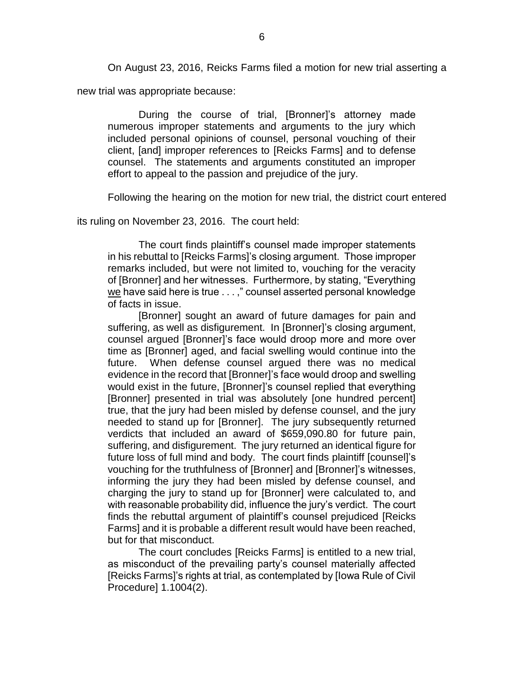On August 23, 2016, Reicks Farms filed a motion for new trial asserting a

new trial was appropriate because:

During the course of trial, [Bronner]'s attorney made numerous improper statements and arguments to the jury which included personal opinions of counsel, personal vouching of their client, [and] improper references to [Reicks Farms] and to defense counsel. The statements and arguments constituted an improper effort to appeal to the passion and prejudice of the jury.

Following the hearing on the motion for new trial, the district court entered

its ruling on November 23, 2016. The court held:

The court finds plaintiff's counsel made improper statements in his rebuttal to [Reicks Farms]'s closing argument. Those improper remarks included, but were not limited to, vouching for the veracity of [Bronner] and her witnesses. Furthermore, by stating, "Everything we have said here is true . . . ," counsel asserted personal knowledge of facts in issue.

[Bronner] sought an award of future damages for pain and suffering, as well as disfigurement. In [Bronner]'s closing argument, counsel argued [Bronner]'s face would droop more and more over time as [Bronner] aged, and facial swelling would continue into the future. When defense counsel argued there was no medical evidence in the record that [Bronner]'s face would droop and swelling would exist in the future, [Bronner]'s counsel replied that everything [Bronner] presented in trial was absolutely [one hundred percent] true, that the jury had been misled by defense counsel, and the jury needed to stand up for [Bronner]. The jury subsequently returned verdicts that included an award of \$659,090.80 for future pain, suffering, and disfigurement. The jury returned an identical figure for future loss of full mind and body. The court finds plaintiff [counsel]'s vouching for the truthfulness of [Bronner] and [Bronner]'s witnesses, informing the jury they had been misled by defense counsel, and charging the jury to stand up for [Bronner] were calculated to, and with reasonable probability did, influence the jury's verdict. The court finds the rebuttal argument of plaintiff's counsel prejudiced [Reicks Farms] and it is probable a different result would have been reached, but for that misconduct.

The court concludes [Reicks Farms] is entitled to a new trial, as misconduct of the prevailing party's counsel materially affected [Reicks Farms]'s rights at trial, as contemplated by [Iowa Rule of Civil Procedure] 1.1004(2).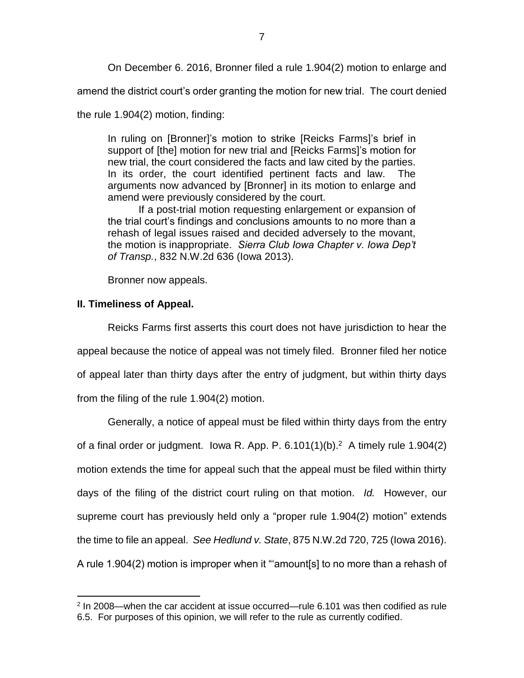On December 6. 2016, Bronner filed a rule 1.904(2) motion to enlarge and

amend the district court's order granting the motion for new trial. The court denied

the rule 1.904(2) motion, finding:

In ruling on [Bronner]'s motion to strike [Reicks Farms]'s brief in support of [the] motion for new trial and [Reicks Farms]'s motion for new trial, the court considered the facts and law cited by the parties. In its order, the court identified pertinent facts and law. The arguments now advanced by [Bronner] in its motion to enlarge and amend were previously considered by the court.

If a post-trial motion requesting enlargement or expansion of the trial court's findings and conclusions amounts to no more than a rehash of legal issues raised and decided adversely to the movant, the motion is inappropriate. *Sierra Club Iowa Chapter v. Iowa Dep't of Transp.*, 832 N.W.2d 636 (Iowa 2013).

Bronner now appeals.

## **II. Timeliness of Appeal.**

 $\overline{a}$ 

Reicks Farms first asserts this court does not have jurisdiction to hear the appeal because the notice of appeal was not timely filed. Bronner filed her notice of appeal later than thirty days after the entry of judgment, but within thirty days from the filing of the rule 1.904(2) motion.

Generally, a notice of appeal must be filed within thirty days from the entry of a final order or judgment. Iowa R. App. P.  $6.101(1)(b)$ .<sup>2</sup> A timely rule 1.904(2) motion extends the time for appeal such that the appeal must be filed within thirty days of the filing of the district court ruling on that motion. *Id.* However, our supreme court has previously held only a "proper rule 1.904(2) motion" extends the time to file an appeal. *See Hedlund v. State*, 875 N.W.2d 720, 725 (Iowa 2016). A rule 1.904(2) motion is improper when it "'amount[s] to no more than a rehash of

<sup>&</sup>lt;sup>2</sup> In 2008—when the car accident at issue occurred—rule 6.101 was then codified as rule 6.5. For purposes of this opinion, we will refer to the rule as currently codified.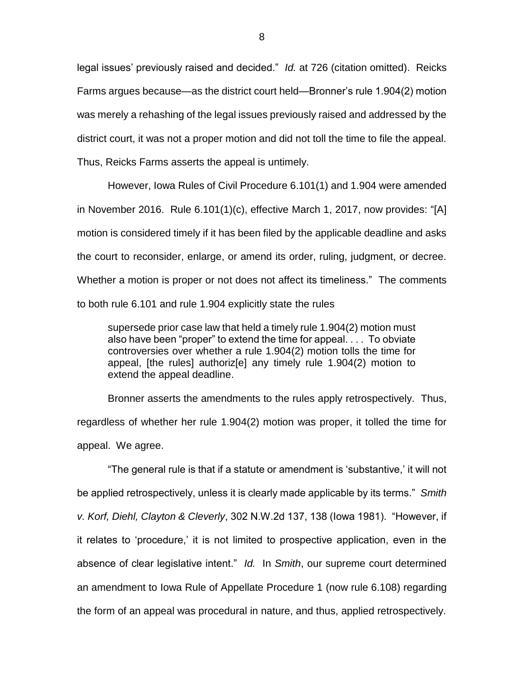legal issues' previously raised and decided." *Id.* at 726 (citation omitted). Reicks Farms argues because—as the district court held—Bronner's rule 1.904(2) motion was merely a rehashing of the legal issues previously raised and addressed by the district court, it was not a proper motion and did not toll the time to file the appeal. Thus, Reicks Farms asserts the appeal is untimely.

However, Iowa Rules of Civil Procedure 6.101(1) and 1.904 were amended in November 2016. Rule 6.101(1)(c), effective March 1, 2017, now provides: "[A] motion is considered timely if it has been filed by the applicable deadline and asks the court to reconsider, enlarge, or amend its order, ruling, judgment, or decree. Whether a motion is proper or not does not affect its timeliness." The comments to both rule 6.101 and rule 1.904 explicitly state the rules

supersede prior case law that held a timely rule 1.904(2) motion must also have been "proper" to extend the time for appeal. . . . To obviate controversies over whether a rule 1.904(2) motion tolls the time for appeal, [the rules] authoriz[e] any timely rule 1.904(2) motion to extend the appeal deadline.

Bronner asserts the amendments to the rules apply retrospectively. Thus, regardless of whether her rule 1.904(2) motion was proper, it tolled the time for appeal. We agree.

"The general rule is that if a statute or amendment is 'substantive,' it will not be applied retrospectively, unless it is clearly made applicable by its terms." *Smith v. Korf, Diehl, Clayton & Cleverly*, 302 N.W.2d 137, 138 (Iowa 1981). "However, if it relates to 'procedure,' it is not limited to prospective application, even in the absence of clear legislative intent." *Id.* In *Smith*, our supreme court determined an amendment to Iowa Rule of Appellate Procedure 1 (now rule 6.108) regarding the form of an appeal was procedural in nature, and thus, applied retrospectively.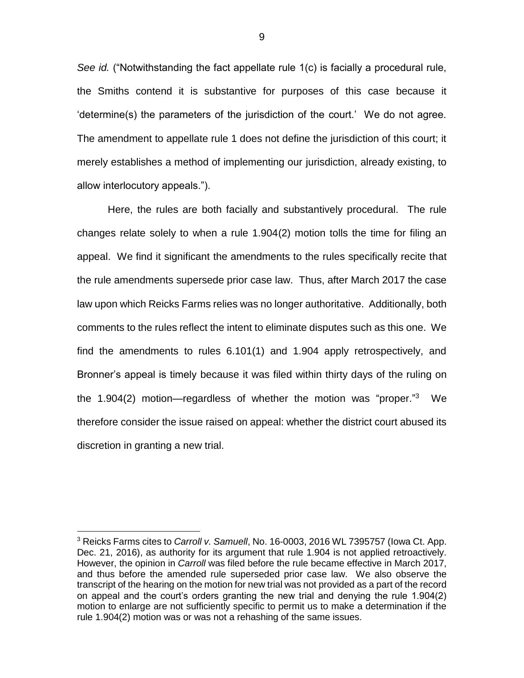*See id.* ("Notwithstanding the fact appellate rule 1(c) is facially a procedural rule, the Smiths contend it is substantive for purposes of this case because it 'determine(s) the parameters of the jurisdiction of the court.' We do not agree. The amendment to appellate rule 1 does not define the jurisdiction of this court; it merely establishes a method of implementing our jurisdiction, already existing, to allow interlocutory appeals.").

Here, the rules are both facially and substantively procedural. The rule changes relate solely to when a rule 1.904(2) motion tolls the time for filing an appeal. We find it significant the amendments to the rules specifically recite that the rule amendments supersede prior case law. Thus, after March 2017 the case law upon which Reicks Farms relies was no longer authoritative. Additionally, both comments to the rules reflect the intent to eliminate disputes such as this one. We find the amendments to rules 6.101(1) and 1.904 apply retrospectively, and Bronner's appeal is timely because it was filed within thirty days of the ruling on the 1.904(2) motion—regardless of whether the motion was "proper."<sup>3</sup> We therefore consider the issue raised on appeal: whether the district court abused its discretion in granting a new trial.

 $\overline{a}$ 

<sup>3</sup> Reicks Farms cites to *Carroll v. Samuell*, No. 16-0003, 2016 WL 7395757 (Iowa Ct. App. Dec. 21, 2016), as authority for its argument that rule 1.904 is not applied retroactively. However, the opinion in *Carroll* was filed before the rule became effective in March 2017, and thus before the amended rule superseded prior case law. We also observe the transcript of the hearing on the motion for new trial was not provided as a part of the record on appeal and the court's orders granting the new trial and denying the rule 1.904(2) motion to enlarge are not sufficiently specific to permit us to make a determination if the rule 1.904(2) motion was or was not a rehashing of the same issues.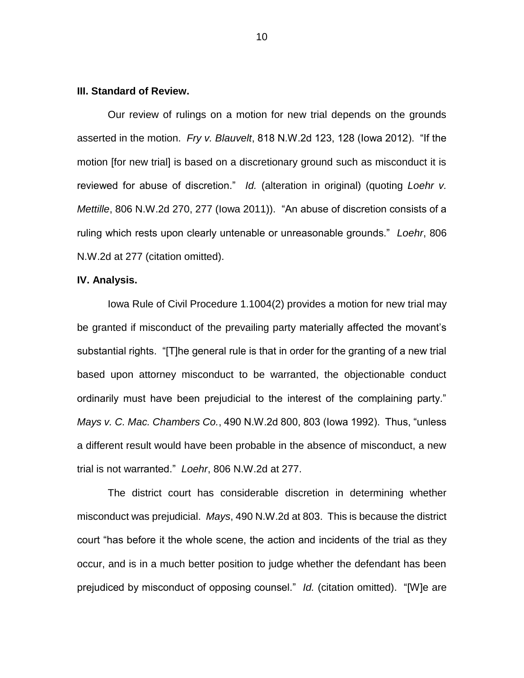## **III. Standard of Review.**

Our review of rulings on a motion for new trial depends on the grounds asserted in the motion. *Fry v. Blauvelt*, 818 N.W.2d 123, 128 (Iowa 2012). "If the motion [for new trial] is based on a discretionary ground such as misconduct it is reviewed for abuse of discretion." *Id.* (alteration in original) (quoting *Loehr v. Mettille*, 806 N.W.2d 270, 277 (Iowa 2011)). "An abuse of discretion consists of a ruling which rests upon clearly untenable or unreasonable grounds." *Loehr*, 806 N.W.2d at 277 (citation omitted).

### **IV. Analysis.**

Iowa Rule of Civil Procedure 1.1004(2) provides a motion for new trial may be granted if misconduct of the prevailing party materially affected the movant's substantial rights. "[T]he general rule is that in order for the granting of a new trial based upon attorney misconduct to be warranted, the objectionable conduct ordinarily must have been prejudicial to the interest of the complaining party." *Mays v. C. Mac. Chambers Co.*, 490 N.W.2d 800, 803 (Iowa 1992). Thus, "unless a different result would have been probable in the absence of misconduct, a new trial is not warranted." *Loehr*, 806 N.W.2d at 277.

The district court has considerable discretion in determining whether misconduct was prejudicial. *Mays*, 490 N.W.2d at 803. This is because the district court "has before it the whole scene, the action and incidents of the trial as they occur, and is in a much better position to judge whether the defendant has been prejudiced by misconduct of opposing counsel." *Id.* (citation omitted). "[W]e are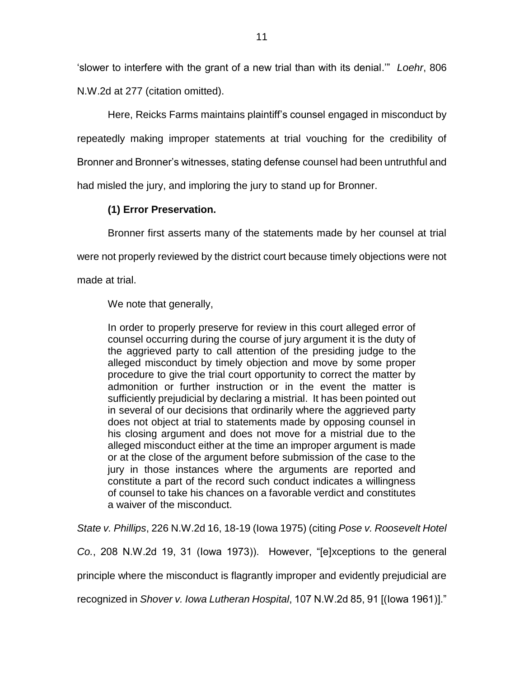'slower to interfere with the grant of a new trial than with its denial.'" *Loehr*, 806 N.W.2d at 277 (citation omitted).

Here, Reicks Farms maintains plaintiff's counsel engaged in misconduct by repeatedly making improper statements at trial vouching for the credibility of Bronner and Bronner's witnesses, stating defense counsel had been untruthful and had misled the jury, and imploring the jury to stand up for Bronner.

# **(1) Error Preservation.**

Bronner first asserts many of the statements made by her counsel at trial

were not properly reviewed by the district court because timely objections were not

made at trial.

We note that generally,

In order to properly preserve for review in this court alleged error of counsel occurring during the course of jury argument it is the duty of the aggrieved party to call attention of the presiding judge to the alleged misconduct by timely objection and move by some proper procedure to give the trial court opportunity to correct the matter by admonition or further instruction or in the event the matter is sufficiently prejudicial by declaring a mistrial. It has been pointed out in several of our decisions that ordinarily where the aggrieved party does not object at trial to statements made by opposing counsel in his closing argument and does not move for a mistrial due to the alleged misconduct either at the time an improper argument is made or at the close of the argument before submission of the case to the jury in those instances where the arguments are reported and constitute a part of the record such conduct indicates a willingness of counsel to take his chances on a favorable verdict and constitutes a waiver of the misconduct.

*State v. Phillips*, 226 N.W.2d 16, 18-19 (Iowa 1975) (citing *Pose v. Roosevelt Hotel* 

*Co.*, 208 N.W.2d 19, 31 (Iowa 1973)). However, "[e]xceptions to the general

principle where the misconduct is flagrantly improper and evidently prejudicial are

recognized in *Shover v. Iowa Lutheran Hospital*, 107 N.W.2d 85, 91 [(Iowa 1961)]."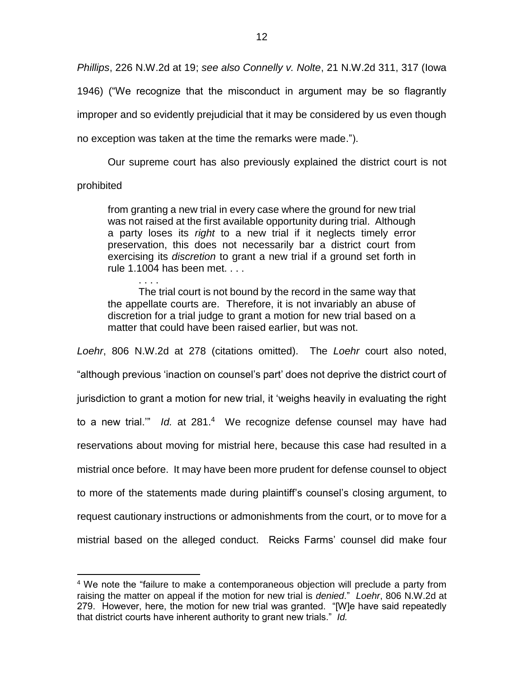*Phillips*, 226 N.W.2d at 19; *see also Connelly v. Nolte*, 21 N.W.2d 311, 317 (Iowa 1946) ("We recognize that the misconduct in argument may be so flagrantly improper and so evidently prejudicial that it may be considered by us even though no exception was taken at the time the remarks were made.").

Our supreme court has also previously explained the district court is not

# prohibited

 $\overline{a}$ 

from granting a new trial in every case where the ground for new trial was not raised at the first available opportunity during trial. Although a party loses its *right* to a new trial if it neglects timely error preservation, this does not necessarily bar a district court from exercising its *discretion* to grant a new trial if a ground set forth in rule 1.1004 has been met. . . .

. . . . The trial court is not bound by the record in the same way that the appellate courts are. Therefore, it is not invariably an abuse of discretion for a trial judge to grant a motion for new trial based on a matter that could have been raised earlier, but was not.

*Loehr*, 806 N.W.2d at 278 (citations omitted). The *Loehr* court also noted, "although previous 'inaction on counsel's part' does not deprive the district court of jurisdiction to grant a motion for new trial, it 'weighs heavily in evaluating the right to a new trial.'" *Id.* at 281.<sup>4</sup> We recognize defense counsel may have had reservations about moving for mistrial here, because this case had resulted in a mistrial once before. It may have been more prudent for defense counsel to object to more of the statements made during plaintiff's counsel's closing argument, to request cautionary instructions or admonishments from the court, or to move for a mistrial based on the alleged conduct. Reicks Farms' counsel did make four

<sup>&</sup>lt;sup>4</sup> We note the "failure to make a contemporaneous objection will preclude a party from raising the matter on appeal if the motion for new trial is *denied*." *Loehr*, 806 N.W.2d at 279. However, here, the motion for new trial was granted. "[W]e have said repeatedly that district courts have inherent authority to grant new trials." *Id.*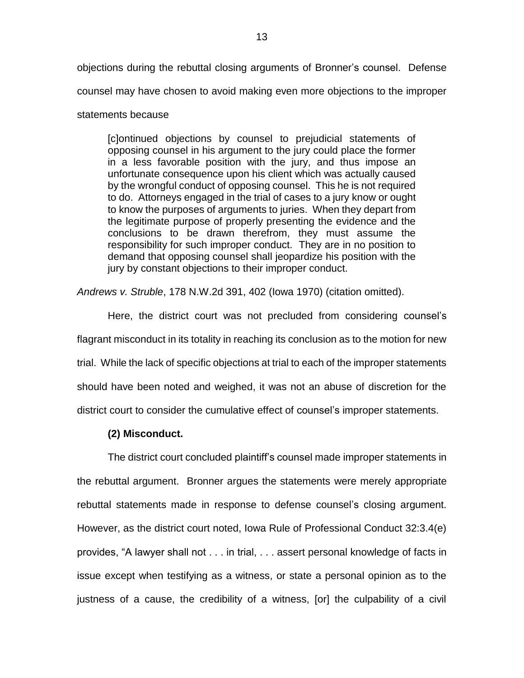objections during the rebuttal closing arguments of Bronner's counsel. Defense counsel may have chosen to avoid making even more objections to the improper

## statements because

[c]ontinued objections by counsel to prejudicial statements of opposing counsel in his argument to the jury could place the former in a less favorable position with the jury, and thus impose an unfortunate consequence upon his client which was actually caused by the wrongful conduct of opposing counsel. This he is not required to do. Attorneys engaged in the trial of cases to a jury know or ought to know the purposes of arguments to juries. When they depart from the legitimate purpose of properly presenting the evidence and the conclusions to be drawn therefrom, they must assume the responsibility for such improper conduct. They are in no position to demand that opposing counsel shall jeopardize his position with the jury by constant objections to their improper conduct.

*Andrews v. Struble*, 178 N.W.2d 391, 402 (Iowa 1970) (citation omitted).

Here, the district court was not precluded from considering counsel's flagrant misconduct in its totality in reaching its conclusion as to the motion for new trial. While the lack of specific objections at trial to each of the improper statements should have been noted and weighed, it was not an abuse of discretion for the district court to consider the cumulative effect of counsel's improper statements.

## **(2) Misconduct.**

The district court concluded plaintiff's counsel made improper statements in the rebuttal argument. Bronner argues the statements were merely appropriate rebuttal statements made in response to defense counsel's closing argument. However, as the district court noted, Iowa Rule of Professional Conduct 32:3.4(e) provides, "A lawyer shall not . . . in trial, . . . assert personal knowledge of facts in issue except when testifying as a witness, or state a personal opinion as to the justness of a cause, the credibility of a witness, [or] the culpability of a civil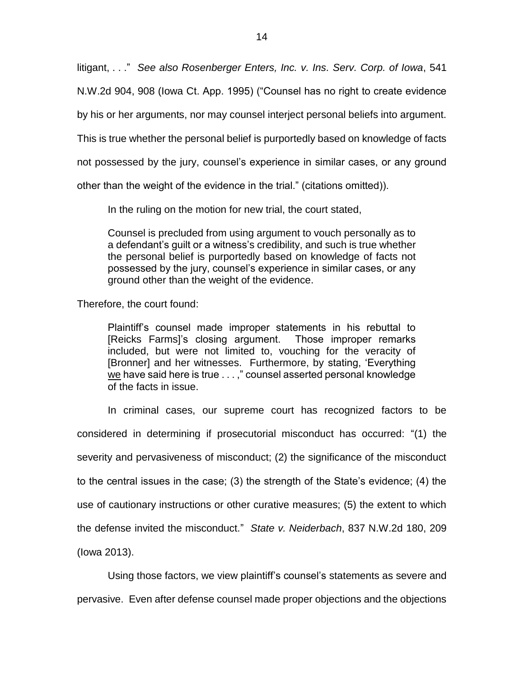litigant, . . ." *See also Rosenberger Enters, Inc. v. Ins. Serv. Corp. of Iowa*, 541

N.W.2d 904, 908 (Iowa Ct. App. 1995) ("Counsel has no right to create evidence

by his or her arguments, nor may counsel interject personal beliefs into argument.

This is true whether the personal belief is purportedly based on knowledge of facts

not possessed by the jury, counsel's experience in similar cases, or any ground

other than the weight of the evidence in the trial." (citations omitted)).

In the ruling on the motion for new trial, the court stated,

Counsel is precluded from using argument to vouch personally as to a defendant's guilt or a witness's credibility, and such is true whether the personal belief is purportedly based on knowledge of facts not possessed by the jury, counsel's experience in similar cases, or any ground other than the weight of the evidence.

Therefore, the court found:

Plaintiff's counsel made improper statements in his rebuttal to [Reicks Farms]'s closing argument. Those improper remarks included, but were not limited to, vouching for the veracity of [Bronner] and her witnesses. Furthermore, by stating, 'Everything we have said here is true . . . ," counsel asserted personal knowledge of the facts in issue.

In criminal cases, our supreme court has recognized factors to be considered in determining if prosecutorial misconduct has occurred: "(1) the severity and pervasiveness of misconduct; (2) the significance of the misconduct to the central issues in the case; (3) the strength of the State's evidence; (4) the use of cautionary instructions or other curative measures; (5) the extent to which the defense invited the misconduct." *State v. Neiderbach*, 837 N.W.2d 180, 209 (Iowa 2013).

Using those factors, we view plaintiff's counsel's statements as severe and pervasive. Even after defense counsel made proper objections and the objections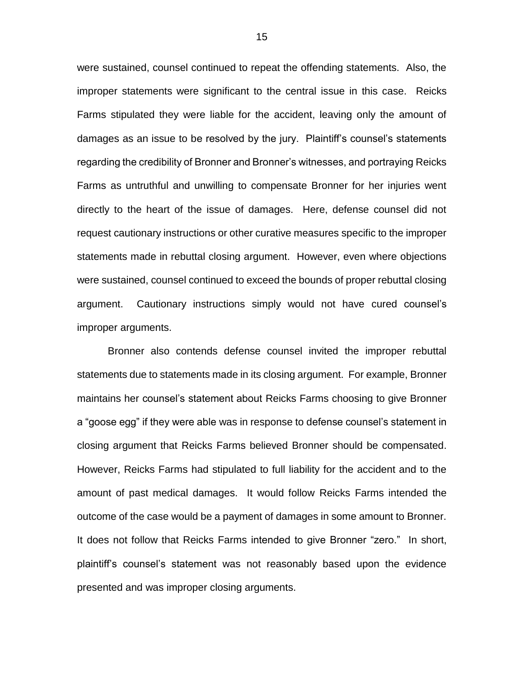were sustained, counsel continued to repeat the offending statements. Also, the improper statements were significant to the central issue in this case. Reicks Farms stipulated they were liable for the accident, leaving only the amount of damages as an issue to be resolved by the jury. Plaintiff's counsel's statements regarding the credibility of Bronner and Bronner's witnesses, and portraying Reicks Farms as untruthful and unwilling to compensate Bronner for her injuries went directly to the heart of the issue of damages. Here, defense counsel did not request cautionary instructions or other curative measures specific to the improper statements made in rebuttal closing argument. However, even where objections were sustained, counsel continued to exceed the bounds of proper rebuttal closing argument. Cautionary instructions simply would not have cured counsel's improper arguments.

Bronner also contends defense counsel invited the improper rebuttal statements due to statements made in its closing argument. For example, Bronner maintains her counsel's statement about Reicks Farms choosing to give Bronner a "goose egg" if they were able was in response to defense counsel's statement in closing argument that Reicks Farms believed Bronner should be compensated. However, Reicks Farms had stipulated to full liability for the accident and to the amount of past medical damages. It would follow Reicks Farms intended the outcome of the case would be a payment of damages in some amount to Bronner. It does not follow that Reicks Farms intended to give Bronner "zero." In short, plaintiff's counsel's statement was not reasonably based upon the evidence presented and was improper closing arguments.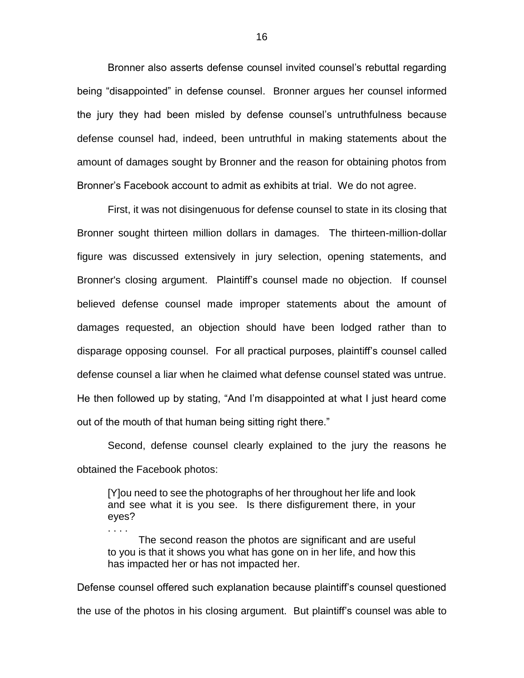Bronner also asserts defense counsel invited counsel's rebuttal regarding being "disappointed" in defense counsel. Bronner argues her counsel informed the jury they had been misled by defense counsel's untruthfulness because defense counsel had, indeed, been untruthful in making statements about the amount of damages sought by Bronner and the reason for obtaining photos from Bronner's Facebook account to admit as exhibits at trial. We do not agree.

First, it was not disingenuous for defense counsel to state in its closing that Bronner sought thirteen million dollars in damages. The thirteen-million-dollar figure was discussed extensively in jury selection, opening statements, and Bronner's closing argument. Plaintiff's counsel made no objection. If counsel believed defense counsel made improper statements about the amount of damages requested, an objection should have been lodged rather than to disparage opposing counsel. For all practical purposes, plaintiff's counsel called defense counsel a liar when he claimed what defense counsel stated was untrue. He then followed up by stating, "And I'm disappointed at what I just heard come out of the mouth of that human being sitting right there."

Second, defense counsel clearly explained to the jury the reasons he obtained the Facebook photos:

[Y]ou need to see the photographs of her throughout her life and look and see what it is you see. Is there disfigurement there, in your eyes?

. . . .

The second reason the photos are significant and are useful to you is that it shows you what has gone on in her life, and how this has impacted her or has not impacted her.

Defense counsel offered such explanation because plaintiff's counsel questioned the use of the photos in his closing argument. But plaintiff's counsel was able to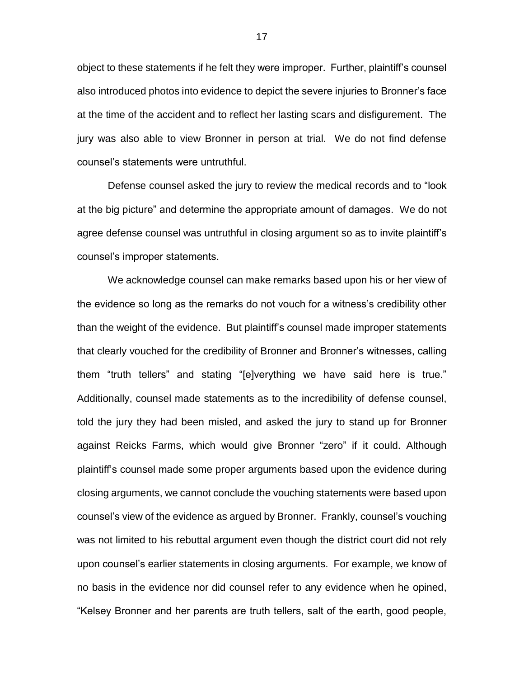object to these statements if he felt they were improper. Further, plaintiff's counsel also introduced photos into evidence to depict the severe injuries to Bronner's face at the time of the accident and to reflect her lasting scars and disfigurement. The jury was also able to view Bronner in person at trial. We do not find defense counsel's statements were untruthful.

Defense counsel asked the jury to review the medical records and to "look at the big picture" and determine the appropriate amount of damages. We do not agree defense counsel was untruthful in closing argument so as to invite plaintiff's counsel's improper statements.

We acknowledge counsel can make remarks based upon his or her view of the evidence so long as the remarks do not vouch for a witness's credibility other than the weight of the evidence. But plaintiff's counsel made improper statements that clearly vouched for the credibility of Bronner and Bronner's witnesses, calling them "truth tellers" and stating "[e]verything we have said here is true." Additionally, counsel made statements as to the incredibility of defense counsel, told the jury they had been misled, and asked the jury to stand up for Bronner against Reicks Farms, which would give Bronner "zero" if it could. Although plaintiff's counsel made some proper arguments based upon the evidence during closing arguments, we cannot conclude the vouching statements were based upon counsel's view of the evidence as argued by Bronner. Frankly, counsel's vouching was not limited to his rebuttal argument even though the district court did not rely upon counsel's earlier statements in closing arguments. For example, we know of no basis in the evidence nor did counsel refer to any evidence when he opined, "Kelsey Bronner and her parents are truth tellers, salt of the earth, good people,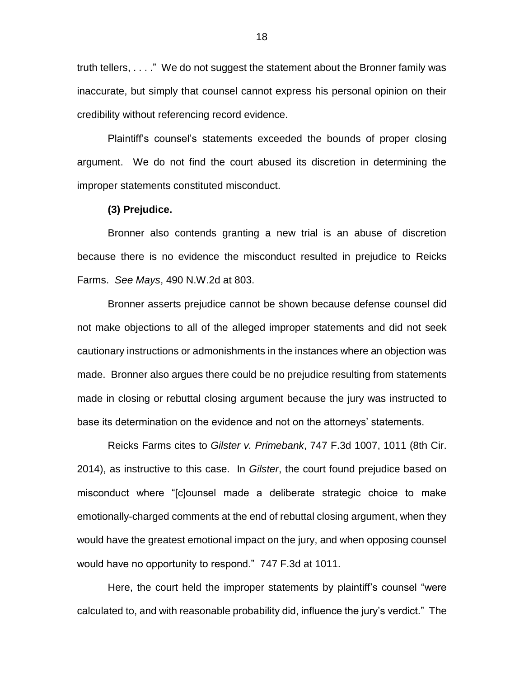truth tellers, . . . ." We do not suggest the statement about the Bronner family was inaccurate, but simply that counsel cannot express his personal opinion on their credibility without referencing record evidence.

Plaintiff's counsel's statements exceeded the bounds of proper closing argument. We do not find the court abused its discretion in determining the improper statements constituted misconduct.

### **(3) Prejudice.**

Bronner also contends granting a new trial is an abuse of discretion because there is no evidence the misconduct resulted in prejudice to Reicks Farms. *See Mays*, 490 N.W.2d at 803.

Bronner asserts prejudice cannot be shown because defense counsel did not make objections to all of the alleged improper statements and did not seek cautionary instructions or admonishments in the instances where an objection was made. Bronner also argues there could be no prejudice resulting from statements made in closing or rebuttal closing argument because the jury was instructed to base its determination on the evidence and not on the attorneys' statements.

Reicks Farms cites to *Gilster v. Primebank*, 747 F.3d 1007, 1011 (8th Cir. 2014), as instructive to this case. In *Gilster*, the court found prejudice based on misconduct where "[c]ounsel made a deliberate strategic choice to make emotionally-charged comments at the end of rebuttal closing argument, when they would have the greatest emotional impact on the jury, and when opposing counsel would have no opportunity to respond." 747 F.3d at 1011.

Here, the court held the improper statements by plaintiff's counsel "were calculated to, and with reasonable probability did, influence the jury's verdict." The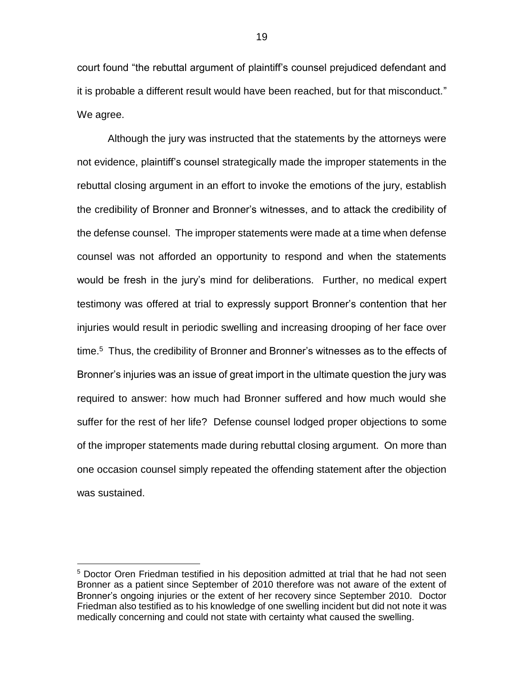court found "the rebuttal argument of plaintiff's counsel prejudiced defendant and it is probable a different result would have been reached, but for that misconduct." We agree.

Although the jury was instructed that the statements by the attorneys were not evidence, plaintiff's counsel strategically made the improper statements in the rebuttal closing argument in an effort to invoke the emotions of the jury, establish the credibility of Bronner and Bronner's witnesses, and to attack the credibility of the defense counsel. The improper statements were made at a time when defense counsel was not afforded an opportunity to respond and when the statements would be fresh in the jury's mind for deliberations. Further, no medical expert testimony was offered at trial to expressly support Bronner's contention that her injuries would result in periodic swelling and increasing drooping of her face over time. 5 Thus, the credibility of Bronner and Bronner's witnesses as to the effects of Bronner's injuries was an issue of great import in the ultimate question the jury was required to answer: how much had Bronner suffered and how much would she suffer for the rest of her life? Defense counsel lodged proper objections to some of the improper statements made during rebuttal closing argument. On more than one occasion counsel simply repeated the offending statement after the objection was sustained.

 $\overline{a}$ 

<sup>&</sup>lt;sup>5</sup> Doctor Oren Friedman testified in his deposition admitted at trial that he had not seen Bronner as a patient since September of 2010 therefore was not aware of the extent of Bronner's ongoing injuries or the extent of her recovery since September 2010. Doctor Friedman also testified as to his knowledge of one swelling incident but did not note it was medically concerning and could not state with certainty what caused the swelling.